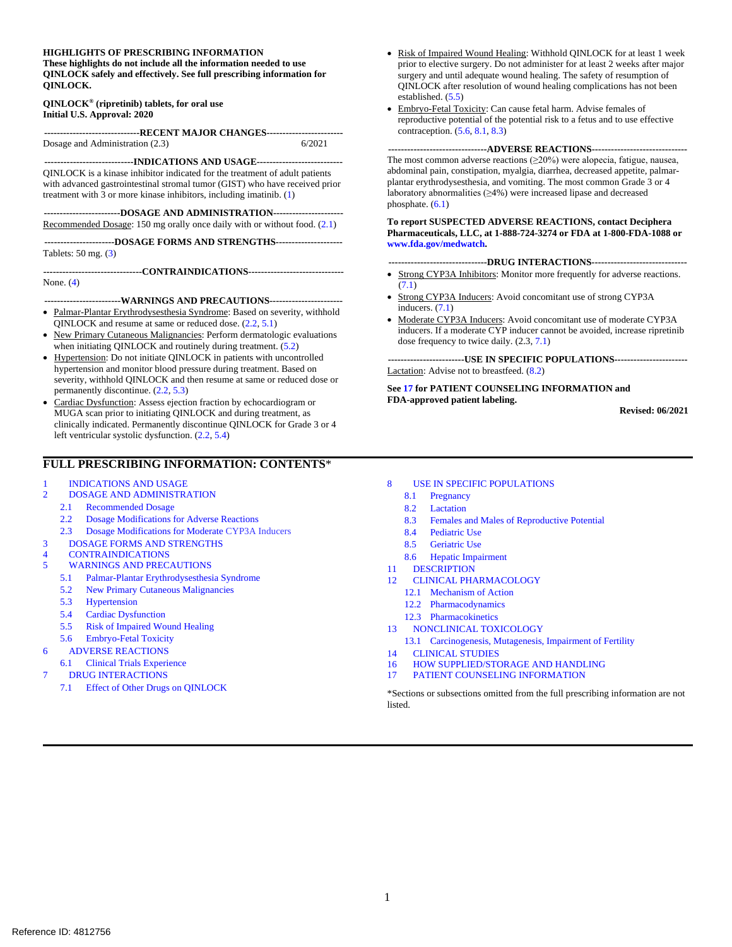#### **HIGHLIGHTS OF PRESCRIBING INFORMATION**

**These highlights do not include all the information needed to use QINLOCK safely and effectively. See full prescribing information for QINLOCK.**

#### **QINLOCK® (ripretinib) tablets, for oral use Initial U.S. Approval: 2020**

**------------------------------RECENT MAJOR CHANGES------------------------** Dosage and Administration (2.3)

**----------------------------INDICATIONS AND USAGE---------------------------** QINLOCK is a kinase inhibitor indicated for the treatment of adult patients with advanced gastrointestinal stromal tumor (GIST) who have received prior treatment with 3 or more kinase inhibitors, including imatinib. [\(1\)](#page-1-0)

**------------------------DOSAGE AND ADMINISTRATION----------------------** Recommended Dosage: 150 mg orally once daily with or without food. [\(2.1\)](#page-1-1)

**----------------------DOSAGE FORMS AND STRENGTHS---------------------** Tablets: 50 mg. [\(3\)](#page-2-0)

**-------------------------------CONTRAINDICATIONS------------------------------**

None. [\(4\)](#page-2-1)

**------------------------WARNINGS AND PRECAUTIONS-----------------------**

- Palmar-Plantar Erythrodysesthesia Syndrome: Based on severity, withhold QINLOCK and resume at same or reduced dose. [\(2.2,](#page-1-2) [5.1\)](#page-2-2)
- New Primary Cutaneous Malignancies: Perform dermatologic evaluations when initiating QINLOCK and routinely during treatment. [\(5.2\)](#page-2-3)
- Hypertension: Do not initiate QINLOCK in patients with uncontrolled hypertension and monitor blood pressure during treatment. Based on severity, withhold QINLOCK and then resume at same or reduced dose or permanently discontinue. [\(2.2,](#page-1-2) [5.3\)](#page-3-0)
- Cardiac Dysfunction: Assess ejection fraction by echocardiogram or MUGA scan prior to initiating QINLOCK and during treatment, as clinically indicated. Permanently discontinue QINLOCK for Grade 3 or 4 left ventricular systolic dysfunction. [\(2.2,](#page-1-2) [5.4\)](#page-3-1)

#### **FULL PRESCRIBING INFORMATION: CONTENTS**\*

- 1 [INDICATIONS AND USAGE](#page-1-0)
- 2 [DOSAGE AND ADMINISTRATION](#page-1-3)
	- 2.1 [Recommended Dosage](#page-1-1)
	- 2.2 [Dosage Modifications for Adverse Reactions](#page-1-2)
	- 2.3 Dosage Modifications for Moderate CYP3A Inducers
- 3 [DOSAGE FORMS AND STRENGTHS](#page-2-0)
- 4 [CONTRAINDICATIONS](#page-2-1)<br>5 WARNINGS AND PREC
	- 5 [WARNINGS AND PRECAUTIONS](#page-2-4)
		- 5.1 [Palmar-Plantar Erythrodysesthesia Syndrome](#page-2-2)
		- 5.2 [New Primary Cutaneous Malignancies](#page-2-3)
		- 5.3 [Hypertension](#page-3-0)
		- 5.4 [Cardiac Dysfunction](#page-3-1)
		- 5.5 [Risk of Impaired Wound Healing](#page-3-2)
	- 5.6 [Embryo-Fetal Toxicity](#page-3-3)
	- 6 [ADVERSE REACTIONS](#page-4-1)
	- 6.1 [Clinical Trials Experience](#page-4-0)
- 7 [DRUG INTERACTIONS](#page-7-2)
	- 7.1 [Effect of Other Drugs on QINLOCK](#page-7-1)
- Risk of Impaired Wound Healing: Withhold QINLOCK for at least 1 week prior to elective surgery. Do not administer for at least 2 weeks after major surgery and until adequate wound healing. The safety of resumption of QINLOCK after resolution of wound healing complications has not been established. [\(5.5\)](#page-3-2)
- Embryo-Fetal Toxicity: Can cause fetal harm. Advise females of reproductive potential of the potential risk to a fetus and to use effective contraception. [\(5.6,](#page-3-3) [8.1,](#page-7-0) [8.3\)](#page-8-0)

**-------------------------------ADVERSE REACTIONS------------------------------** The most common adverse reactions  $(\geq 20\%)$  were alopecia, fatigue, nausea, abdominal pain, constipation, myalgia, diarrhea, decreased appetite, palmarplantar erythrodysesthesia, and vomiting. The most common Grade 3 or 4 laboratory abnormalities (≥4%) were increased lipase and decreased phosphate. [\(6.1\)](#page-4-0)

#### **To report SUSPECTED ADVERSE REACTIONS, contact Deciphera Pharmaceuticals, LLC, at 1-888-724-3274 or FDA at 1-800-FDA-1088 or [www.fda.gov/medwatch.](http://sharepoint.fda.gov/orgs/CDER-OHOP-DOP2/Shared%20Documents/RPM_Information/Leah_Her/NDA%20213973%20Deciphera/Label/2%20revised%20labeling%20rec)**

#### **-------------------------------DRUG INTERACTIONS------------------------------**

- Strong CYP3A Inhibitors: Monitor more frequently for adverse reactions. [\(7.1\)](#page-7-1)
- Strong CYP3A Inducers: Avoid concomitant use of strong CYP3A inducers. [\(7.1\)](#page-7-1)
- Moderate CYP3A Inducers: Avoid concomitant use of moderate CYP3A inducers. If a moderate CYP inducer cannot be avoided, increase ripretinib dose frequency to twice daily. (2.3, [7.1\)](#page-7-1)

**------------------------USE IN SPECIFIC POPULATIONS-----------------------** Lactation: Advise not to breastfeed. [\(8.2\)](#page-8-1)

**Se[e 17](#page-14-0) for PATIENT COUNSELING INFORMATION and FDA-approved patient labeling.**

**Revised: 06/2021**

- 8 [USE IN SPECIFIC POPULATIONS](#page-7-3)
	- 8.1 [Pregnancy](#page-7-0)
	- 8.2 [Lactation](#page-8-1)
	- 8.3 [Females and Males of Reproductive Potential](#page-8-0)
	- 8.4 [Pediatric Use](#page-8-2)
	- 8.5 [Geriatric Use](#page-9-0)
	- 8.6 [Hepatic Impairment](#page-9-1)
- 11 [DESCRIPTION](#page-9-2)
- 12 [CLINICAL PHARMACOLOGY](#page-9-3)
	- 12.1 [Mechanism of Action](#page-9-4)
	- 12.2 [Pharmacodynamics](#page-9-5)
	- 12.3 [Pharmacokinetics](#page-9-6)
- 13 [NONCLINICAL TOXICOLOGY](#page-11-0)
- 13.1 [Carcinogenesis, Mutagenesis, Impairment of Fertility](#page-11-1)
- 14 [CLINICAL STUDIES](#page-11-2)
- 16 [HOW SUPPLIED/STORAGE AND HANDLING](#page-13-0)
- 17 [PATIENT COUNSELING INFORMATION](#page-14-0)

\*Sections or subsections omitted from the full prescribing information are not listed.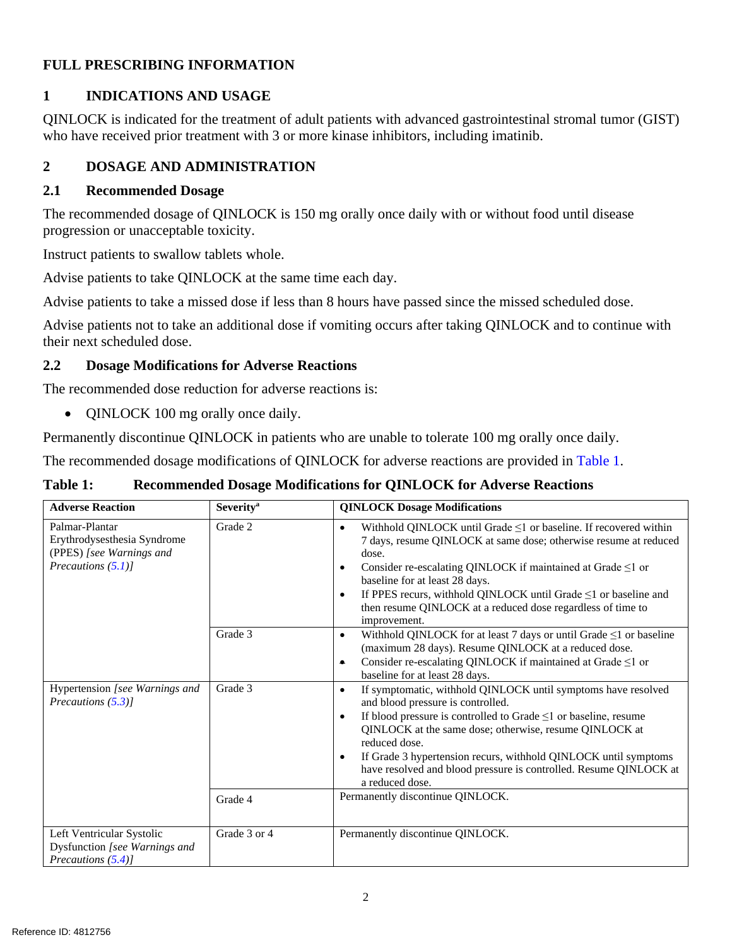# **FULL PRESCRIBING INFORMATION**

# <span id="page-1-0"></span>**1 INDICATIONS AND USAGE**

QINLOCK is indicated for the treatment of adult patients with advanced gastrointestinal stromal tumor (GIST) who have received prior treatment with 3 or more kinase inhibitors, including imatinib.

# <span id="page-1-3"></span>**2 DOSAGE AND ADMINISTRATION**

### <span id="page-1-1"></span>**2.1 Recommended Dosage**

The recommended dosage of QINLOCK is 150 mg orally once daily with or without food until disease progression or unacceptable toxicity.

Instruct patients to swallow tablets whole.

Advise patients to take QINLOCK at the same time each day.

Advise patients to take a missed dose if less than 8 hours have passed since the missed scheduled dose.

Advise patients not to take an additional dose if vomiting occurs after taking QINLOCK and to continue with their next scheduled dose.

### <span id="page-1-2"></span>**2.2 Dosage Modifications for Adverse Reactions**

The recommended dose reduction for adverse reactions is:

• QINLOCK 100 mg orally once daily.

Permanently discontinue QINLOCK in patients who are unable to tolerate 100 mg orally once daily.

The recommended dosage modifications of QINLOCK for adverse reactions are provided in [Table 1.](#page-1-4)

### <span id="page-1-4"></span>**Table 1: Recommended Dosage Modifications for QINLOCK for Adverse Reactions**

| <b>Adverse Reaction</b>                                                                            | <b>Severity</b> <sup>a</sup> | <b>QINLOCK Dosage Modifications</b>                                                                                                                                                                                                                                                                                                                                                                                                         |  |  |
|----------------------------------------------------------------------------------------------------|------------------------------|---------------------------------------------------------------------------------------------------------------------------------------------------------------------------------------------------------------------------------------------------------------------------------------------------------------------------------------------------------------------------------------------------------------------------------------------|--|--|
| Palmar-Plantar<br>Erythrodysesthesia Syndrome<br>(PPES) [see Warnings and<br>Precautions $(5.1)$ ] | Grade 2                      | Withhold QINLOCK until Grade $\leq 1$ or baseline. If recovered within<br>7 days, resume QINLOCK at same dose; otherwise resume at reduced<br>dose.<br>Consider re-escalating QINLOCK if maintained at Grade $\leq 1$ or<br>baseline for at least 28 days.<br>If PPES recurs, withhold QINLOCK until Grade ≤1 or baseline and<br>then resume QINLOCK at a reduced dose regardless of time to<br>improvement.                                |  |  |
|                                                                                                    | Grade 3                      | Withhold QINLOCK for at least 7 days or until Grade $\leq 1$ or baseline<br>$\bullet$<br>(maximum 28 days). Resume QINLOCK at a reduced dose.<br>Consider re-escalating QINLOCK if maintained at Grade $\leq 1$ or<br>$\bullet$<br>baseline for at least 28 days.                                                                                                                                                                           |  |  |
| Hypertension [see Warnings and<br>Precautions $(5.3)$ ]                                            | Grade 3                      | If symptomatic, withhold QINLOCK until symptoms have resolved<br>$\bullet$<br>and blood pressure is controlled.<br>If blood pressure is controlled to Grade $\leq 1$ or baseline, resume<br>QINLOCK at the same dose; otherwise, resume QINLOCK at<br>reduced dose.<br>If Grade 3 hypertension recurs, withhold QINLOCK until symptoms<br>$\bullet$<br>have resolved and blood pressure is controlled. Resume QINLOCK at<br>a reduced dose. |  |  |
|                                                                                                    | Grade 4                      | Permanently discontinue QINLOCK.                                                                                                                                                                                                                                                                                                                                                                                                            |  |  |
| Left Ventricular Systolic<br>Dysfunction [see Warnings and<br>Precautions $(5.4)$                  | Grade 3 or 4                 | Permanently discontinue QINLOCK.                                                                                                                                                                                                                                                                                                                                                                                                            |  |  |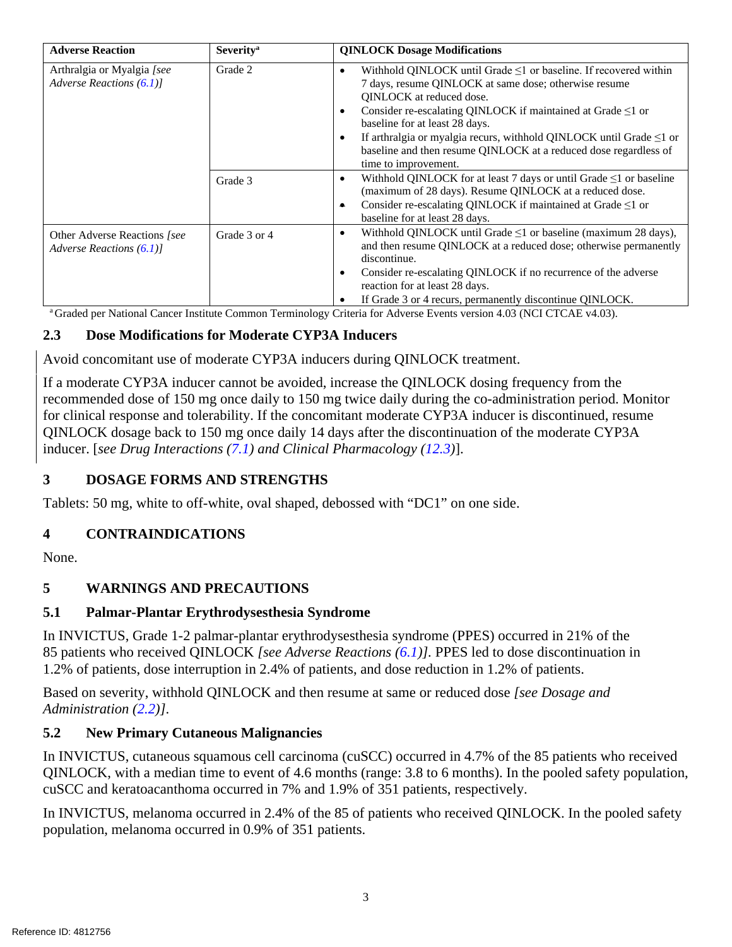| <b>Adverse Reaction</b>                                   | <b>Severity</b> <sup>a</sup> | <b>QINLOCK Dosage Modifications</b>                                                                                                                                                                                                                                                                                                                                                                                                                                        |  |  |
|-----------------------------------------------------------|------------------------------|----------------------------------------------------------------------------------------------------------------------------------------------------------------------------------------------------------------------------------------------------------------------------------------------------------------------------------------------------------------------------------------------------------------------------------------------------------------------------|--|--|
| Arthralgia or Myalgia [see<br>Adverse Reactions $(6.1)$ ] | Grade 2                      | Withhold QINLOCK until Grade $\leq 1$ or baseline. If recovered within<br>٠<br>7 days, resume QINLOCK at same dose; otherwise resume<br><b>OINLOCK</b> at reduced dose.<br>Consider re-escalating QINLOCK if maintained at Grade $\leq 1$ or<br>$\epsilon$<br>baseline for at least 28 days.<br>If arthralgia or myalgia recurs, withhold QINLOCK until Grade $\leq 1$ or<br>٠<br>baseline and then resume QINLOCK at a reduced dose regardless of<br>time to improvement. |  |  |
|                                                           | Grade 3                      | Withhold QINLOCK for at least 7 days or until Grade $\leq 1$ or baseline<br>(maximum of 28 days). Resume QINLOCK at a reduced dose.<br>Consider re-escalating QINLOCK if maintained at Grade $\leq 1$ or<br>٠<br>baseline for at least 28 days.                                                                                                                                                                                                                            |  |  |
| Other Adverse Reactions [see<br>Adverse Reactions $(6.1)$ | Grade 3 or 4                 | Withhold QINLOCK until Grade $\leq 1$ or baseline (maximum 28 days),<br>٠<br>and then resume QINLOCK at a reduced dose; otherwise permanently<br>discontinue.<br>Consider re-escalating QINLOCK if no recurrence of the adverse<br>$\epsilon$<br>reaction for at least 28 days.<br>If Grade 3 or 4 recurs, permanently discontinue QINLOCK.                                                                                                                                |  |  |

a Graded per National Cancer Institute Common Terminology Criteria for Adverse Events version 4.03 (NCI CTCAE v4.03).

### <span id="page-2-0"></span>**2.3 Dose Modifications for Moderate CYP3A Inducers**

Avoid concomitant use of moderate CYP3A inducers during QINLOCK treatment.

If a moderate CYP3A inducer cannot be avoided, increase the QINLOCK dosing frequency from the recommended dose of 150 mg once daily to 150 mg twice daily during the co-administration period. Monitor for clinical response and tolerability. If the concomitant moderate CYP3A inducer is discontinued, resume QINLOCK dosage back to 150 mg once daily 14 days after the discontinuation of the moderate CYP3A inducer. [*see Drug Interactions [\(7.1\)](#page-7-1) and Clinical Pharmacology [\(12.3\)](#page-9-6)*].

### **3 DOSAGE FORMS AND STRENGTHS**

Tablets: 50 mg, white to off-white, oval shaped, debossed with "DC1" on one side.

### <span id="page-2-1"></span>**4 CONTRAINDICATIONS**

None.

# <span id="page-2-4"></span>**5 WARNINGS AND PRECAUTIONS**

### <span id="page-2-2"></span>**5.1 Palmar-Plantar Erythrodysesthesia Syndrome**

In INVICTUS, Grade 1-2 palmar-plantar erythrodysesthesia syndrome (PPES) occurred in 21% of the 85 patients who received QINLOCK *[see Adverse Reactions [\(6.1\)](#page-4-0)].* PPES led to dose discontinuation in 1.2% of patients, dose interruption in 2.4% of patients, and dose reduction in 1.2% of patients.

Based on severity, withhold QINLOCK and then resume at same or reduced dose *[see Dosage and Administration [\(2.2\)](#page-1-2)]*.

### <span id="page-2-3"></span>**5.2 New Primary Cutaneous Malignancies**

In INVICTUS, cutaneous squamous cell carcinoma (cuSCC) occurred in 4.7% of the 85 patients who received QINLOCK, with a median time to event of 4.6 months (range: 3.8 to 6 months). In the pooled safety population, cuSCC and keratoacanthoma occurred in 7% and 1.9% of 351 patients, respectively.

In INVICTUS, melanoma occurred in 2.4% of the 85 of patients who received QINLOCK. In the pooled safety population, melanoma occurred in 0.9% of 351 patients.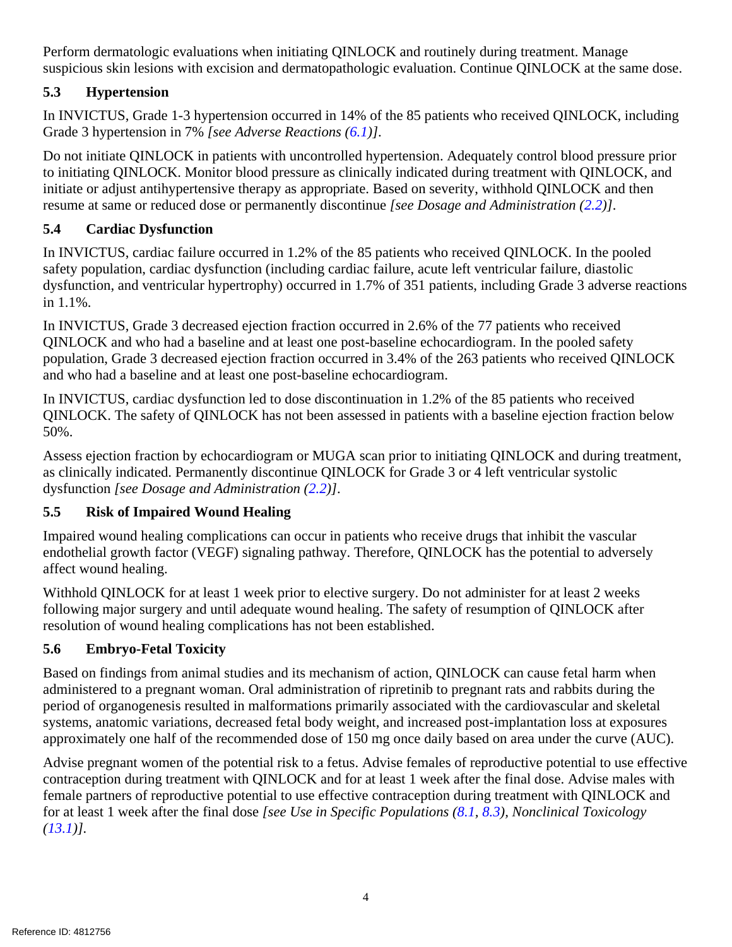Perform dermatologic evaluations when initiating QINLOCK and routinely during treatment. Manage suspicious skin lesions with excision and dermatopathologic evaluation. Continue QINLOCK at the same dose.

# <span id="page-3-0"></span>**5.3 Hypertension**

In INVICTUS, Grade 1-3 hypertension occurred in 14% of the 85 patients who received QINLOCK, including Grade 3 hypertension in 7% *[see Adverse Reactions [\(6.1\)](#page-4-0)]*.

Do not initiate QINLOCK in patients with uncontrolled hypertension. Adequately control blood pressure prior to initiating QINLOCK. Monitor blood pressure as clinically indicated during treatment with QINLOCK, and initiate or adjust antihypertensive therapy as appropriate. Based on severity, withhold QINLOCK and then resume at same or reduced dose or permanently discontinue *[see Dosage and Administration [\(2.2\)](#page-1-2)]*.

# <span id="page-3-1"></span>**5.4 Cardiac Dysfunction**

In INVICTUS, cardiac failure occurred in 1.2% of the 85 patients who received QINLOCK. In the pooled safety population, cardiac dysfunction (including cardiac failure, acute left ventricular failure, diastolic dysfunction, and ventricular hypertrophy) occurred in 1.7% of 351 patients, including Grade 3 adverse reactions in 1.1%.

In INVICTUS, Grade 3 decreased ejection fraction occurred in 2.6% of the 77 patients who received QINLOCK and who had a baseline and at least one post-baseline echocardiogram. In the pooled safety population, Grade 3 decreased ejection fraction occurred in 3.4% of the 263 patients who received QINLOCK and who had a baseline and at least one post-baseline echocardiogram.

In INVICTUS, cardiac dysfunction led to dose discontinuation in 1.2% of the 85 patients who received QINLOCK. The safety of QINLOCK has not been assessed in patients with a baseline ejection fraction below 50%.

Assess ejection fraction by echocardiogram or MUGA scan prior to initiating QINLOCK and during treatment, as clinically indicated. Permanently discontinue QINLOCK for Grade 3 or 4 left ventricular systolic dysfunction *[see Dosage and Administration [\(2.2\)](#page-1-2)]*.

# <span id="page-3-2"></span>**5.5 Risk of Impaired Wound Healing**

Impaired wound healing complications can occur in patients who receive drugs that inhibit the vascular endothelial growth factor (VEGF) signaling pathway. Therefore, QINLOCK has the potential to adversely affect wound healing.

Withhold QINLOCK for at least 1 week prior to elective surgery. Do not administer for at least 2 weeks following major surgery and until adequate wound healing. The safety of resumption of QINLOCK after resolution of wound healing complications has not been established.

# <span id="page-3-3"></span>**5.6 Embryo-Fetal Toxicity**

Based on findings from animal studies and its mechanism of action, QINLOCK can cause fetal harm when administered to a pregnant woman. Oral administration of ripretinib to pregnant rats and rabbits during the period of organogenesis resulted in malformations primarily associated with the cardiovascular and skeletal systems, anatomic variations, decreased fetal body weight, and increased post-implantation loss at exposures approximately one half of the recommended dose of 150 mg once daily based on area under the curve (AUC).

Advise pregnant women of the potential risk to a fetus. Advise females of reproductive potential to use effective contraception during treatment with QINLOCK and for at least 1 week after the final dose. Advise males with female partners of reproductive potential to use effective contraception during treatment with QINLOCK and for at least 1 week after the final dose *[see Use in Specific Populations [\(8.1,](#page-7-0) [8.3\)](#page-8-0), Nonclinical Toxicology [\(13.1\)](#page-11-1)].*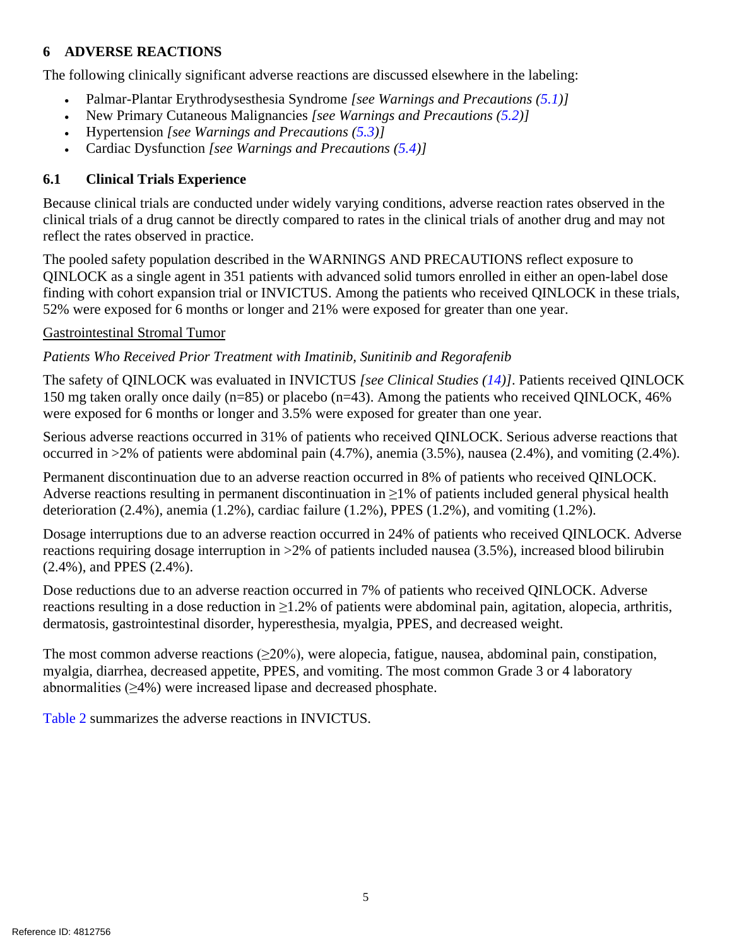### <span id="page-4-1"></span>**6 ADVERSE REACTIONS**

The following clinically significant adverse reactions are discussed elsewhere in the labeling:

- Palmar-Plantar Erythrodysesthesia Syndrome *[see Warnings and Precautions [\(5.1\)](#page-2-2)]*
- New Primary Cutaneous Malignancies *[see Warnings and Precautions [\(5.2\)](#page-2-3)]*
- Hypertension *[see Warnings and Precautions [\(5.3\)](#page-3-0)]*
- Cardiac Dysfunction *[see Warnings and Precautions [\(5.4\)](#page-3-1)]*

### <span id="page-4-0"></span>**6.1 Clinical Trials Experience**

Because clinical trials are conducted under widely varying conditions, adverse reaction rates observed in the clinical trials of a drug cannot be directly compared to rates in the clinical trials of another drug and may not reflect the rates observed in practice.

The pooled safety population described in the WARNINGS AND PRECAUTIONS reflect exposure to QINLOCK as a single agent in 351 patients with advanced solid tumors enrolled in either an open-label dose finding with cohort expansion trial or INVICTUS. Among the patients who received QINLOCK in these trials, 52% were exposed for 6 months or longer and 21% were exposed for greater than one year.

#### Gastrointestinal Stromal Tumor

*Patients Who Received Prior Treatment with Imatinib, Sunitinib and Regorafenib*

The safety of QINLOCK was evaluated in INVICTUS *[see Clinical Studies [\(14\)](#page-11-2)]*. Patients received QINLOCK 150 mg taken orally once daily (n=85) or placebo (n=43). Among the patients who received QINLOCK, 46% were exposed for 6 months or longer and 3.5% were exposed for greater than one year.

Serious adverse reactions occurred in 31% of patients who received QINLOCK. Serious adverse reactions that occurred in >2% of patients were abdominal pain (4.7%), anemia (3.5%), nausea (2.4%), and vomiting (2.4%).

Permanent discontinuation due to an adverse reaction occurred in 8% of patients who received QINLOCK. Adverse reactions resulting in permanent discontinuation in  $\geq$ 1% of patients included general physical health deterioration  $(2.4\%)$ , anemia  $(1.2\%)$ , cardiac failure  $(1.2\%)$ , PPES  $(1.2\%)$ , and vomiting  $(1.2\%)$ .

Dosage interruptions due to an adverse reaction occurred in 24% of patients who received QINLOCK. Adverse reactions requiring dosage interruption in >2% of patients included nausea (3.5%), increased blood bilirubin (2.4%), and PPES (2.4%).

Dose reductions due to an adverse reaction occurred in 7% of patients who received QINLOCK. Adverse reactions resulting in a dose reduction in  $\geq$ 1.2% of patients were abdominal pain, agitation, alopecia, arthritis, dermatosis, gastrointestinal disorder, hyperesthesia, myalgia, PPES, and decreased weight.

The most common adverse reactions  $(\geq 20\%)$ , were alopecia, fatigue, nausea, abdominal pain, constipation, myalgia, diarrhea, decreased appetite, PPES, and vomiting. The most common Grade 3 or 4 laboratory abnormalities  $(\geq 4\%)$  were increased lipase and decreased phosphate.

[Table 2](#page-5-0) summarizes the adverse reactions in INVICTUS.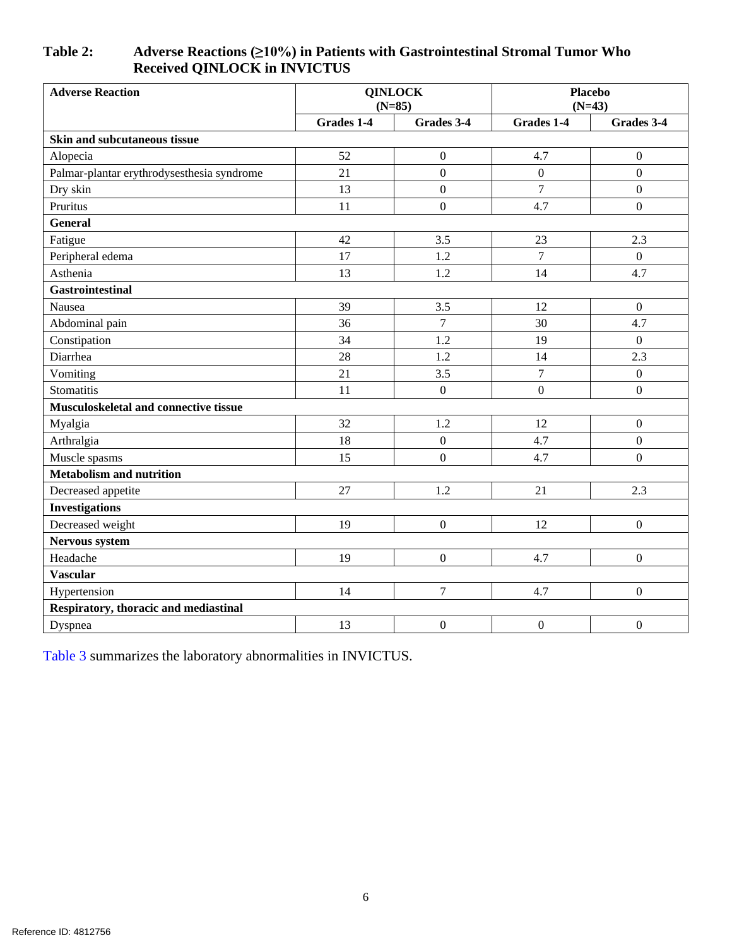### <span id="page-5-0"></span>**Table 2: Adverse Reactions (≥10%) in Patients with Gastrointestinal Stromal Tumor Who Received QINLOCK in INVICTUS**

| <b>Adverse Reaction</b>                    | <b>QINLOCK</b><br>$(N=85)$ |                  | <b>Placebo</b><br>$(N=43)$ |                  |  |
|--------------------------------------------|----------------------------|------------------|----------------------------|------------------|--|
|                                            | Grades 1-4                 | Grades 3-4       | Grades 1-4                 | Grades 3-4       |  |
| Skin and subcutaneous tissue               |                            |                  |                            |                  |  |
| Alopecia                                   | 52                         | $\boldsymbol{0}$ | 4.7                        | $\boldsymbol{0}$ |  |
| Palmar-plantar erythrodysesthesia syndrome | 21                         | $\boldsymbol{0}$ | $\boldsymbol{0}$           | $\mathbf{0}$     |  |
| Dry skin                                   | 13                         | $\boldsymbol{0}$ | $\overline{7}$             | $\overline{0}$   |  |
| Pruritus                                   | 11                         | $\boldsymbol{0}$ | 4.7                        | $\mathbf{0}$     |  |
| <b>General</b>                             |                            |                  |                            |                  |  |
| Fatigue                                    | 42                         | 3.5              | 23                         | 2.3              |  |
| Peripheral edema                           | 17                         | 1.2              | $\overline{7}$             | $\overline{0}$   |  |
| Asthenia                                   | 13                         | 1.2              | 14                         | 4.7              |  |
| <b>Gastrointestinal</b>                    |                            |                  |                            |                  |  |
| Nausea                                     | 39                         | 3.5              | 12                         | $\boldsymbol{0}$ |  |
| Abdominal pain                             | 36                         | $\overline{7}$   | 30                         | 4.7              |  |
| Constipation                               | 34                         | 1.2              | 19                         | $\overline{0}$   |  |
| Diarrhea                                   | 28                         | 1.2              | 14                         | 2.3              |  |
| Vomiting                                   | 21                         | 3.5              | $\overline{7}$             | $\mathbf{0}$     |  |
| Stomatitis                                 | 11                         | $\boldsymbol{0}$ | $\boldsymbol{0}$           | $\mathbf{0}$     |  |
| Musculoskeletal and connective tissue      |                            |                  |                            |                  |  |
| Myalgia                                    | 32                         | 1.2              | 12                         | $\boldsymbol{0}$ |  |
| Arthralgia                                 | 18                         | $\boldsymbol{0}$ | 4.7                        | $\mathbf{0}$     |  |
| Muscle spasms                              | 15                         | $\boldsymbol{0}$ | 4.7                        | $\mathbf{0}$     |  |
| <b>Metabolism and nutrition</b>            |                            |                  |                            |                  |  |
| Decreased appetite                         | 27                         | 1.2              | 21                         | 2.3              |  |
| <b>Investigations</b>                      |                            |                  |                            |                  |  |
| Decreased weight                           | 19                         | $\boldsymbol{0}$ | 12                         | $\mathbf{0}$     |  |
| Nervous system                             |                            |                  |                            |                  |  |
| Headache                                   | 19                         | $\boldsymbol{0}$ | 4.7                        | $\boldsymbol{0}$ |  |
| <b>Vascular</b>                            |                            |                  |                            |                  |  |
| Hypertension                               | 14                         | $\overline{7}$   | 4.7                        | $\mathbf{0}$     |  |
| Respiratory, thoracic and mediastinal      |                            |                  |                            |                  |  |
| Dyspnea                                    | 13                         | $\boldsymbol{0}$ | $\boldsymbol{0}$           | $\boldsymbol{0}$ |  |

[Table 3](#page-6-0) summarizes the laboratory abnormalities in INVICTUS.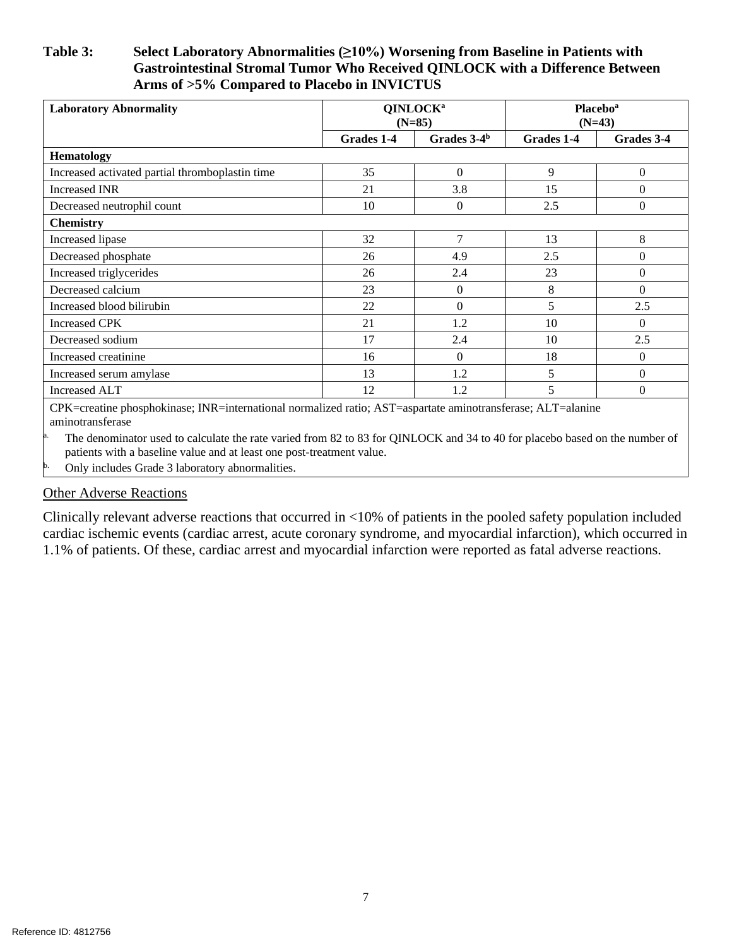#### <span id="page-6-0"></span>**Table 3: Select Laboratory Abnormalities (≥10%) Worsening from Baseline in Patients with Gastrointestinal Stromal Tumor Who Received QINLOCK with a Difference Between Arms of >5% Compared to Placebo in INVICTUS**

| <b>Laboratory Abnormality</b>                   | QINLOCK <sup>a</sup><br>$(N=85)$ |                  | <b>Placebo</b> <sup>a</sup><br>$(N=43)$ |            |
|-------------------------------------------------|----------------------------------|------------------|-----------------------------------------|------------|
|                                                 | Grades 1-4                       | Grades $3-4b$    | Grades 1-4                              | Grades 3-4 |
| <b>Hematology</b>                               |                                  |                  |                                         |            |
| Increased activated partial thromboplastin time | 35                               | $\mathbf{0}$     | 9                                       | $\Omega$   |
| <b>Increased INR</b>                            | 21                               | 3.8              | 15                                      | $\Omega$   |
| Decreased neutrophil count                      | 10                               | $\boldsymbol{0}$ | 2.5                                     | $\Omega$   |
| <b>Chemistry</b>                                |                                  |                  |                                         |            |
| Increased lipase                                | 32                               | 7                | 13                                      | 8          |
| Decreased phosphate                             | 26                               | 4.9              | 2.5                                     | $\Omega$   |
| Increased triglycerides                         | 26                               | 2.4              | 23                                      | $\Omega$   |
| Decreased calcium                               | 23                               | $\overline{0}$   | 8                                       | $\Omega$   |
| Increased blood bilirubin                       | 22                               | $\mathbf{0}$     | 5                                       | 2.5        |
| <b>Increased CPK</b>                            | 21                               | 1.2              | 10                                      | $\Omega$   |
| Decreased sodium                                | 17                               | 2.4              | 10                                      | 2.5        |
| Increased creatinine                            | 16                               | $\mathbf{0}$     | 18                                      | $\Omega$   |
| Increased serum amylase                         | 13                               | 1.2              | 5                                       | $\Omega$   |
| <b>Increased ALT</b><br>.<br>$   -$<br>$- - -$  | 12                               | 1.2              | 5                                       | $\Omega$   |

CPK=creatine phosphokinase; INR=international normalized ratio; AST=aspartate aminotransferase; ALT=alanine aminotransferase

The denominator used to calculate the rate varied from 82 to 83 for QINLOCK and 34 to 40 for placebo based on the number of patients with a baseline value and at least one post-treatment value.

b. Only includes Grade 3 laboratory abnormalities.

#### Other Adverse Reactions

Clinically relevant adverse reactions that occurred in <10% of patients in the pooled safety population included cardiac ischemic events (cardiac arrest, acute coronary syndrome, and myocardial infarction), which occurred in 1.1% of patients. Of these, cardiac arrest and myocardial infarction were reported as fatal adverse reactions.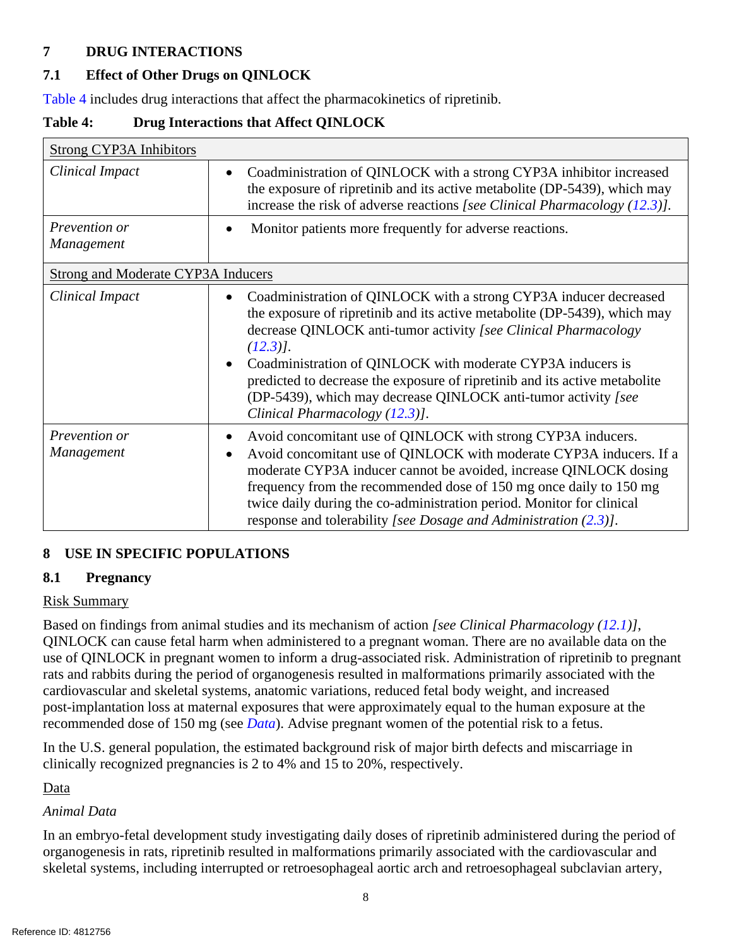# <span id="page-7-2"></span>**7 DRUG INTERACTIONS**

# <span id="page-7-1"></span>**7.1 Effect of Other Drugs on QINLOCK**

[Table 4](#page-7-4) includes drug interactions that affect the pharmacokinetics of ripretinib.

<span id="page-7-4"></span>**Table 4: Drug Interactions that Affect QINLOCK**

| <b>Strong CYP3A Inhibitors</b>            |                                                                                                                                                                                                                                                                                                                                                                                                                                                                                  |
|-------------------------------------------|----------------------------------------------------------------------------------------------------------------------------------------------------------------------------------------------------------------------------------------------------------------------------------------------------------------------------------------------------------------------------------------------------------------------------------------------------------------------------------|
| <b>Clinical Impact</b>                    | Coadministration of QINLOCK with a strong CYP3A inhibitor increased<br>$\bullet$<br>the exposure of ripretinib and its active metabolite (DP-5439), which may<br>increase the risk of adverse reactions [see Clinical Pharmacology $(12.3)$ ].                                                                                                                                                                                                                                   |
| Prevention or<br>Management               | Monitor patients more frequently for adverse reactions.                                                                                                                                                                                                                                                                                                                                                                                                                          |
| <b>Strong and Moderate CYP3A Inducers</b> |                                                                                                                                                                                                                                                                                                                                                                                                                                                                                  |
| Clinical Impact                           | Coadministration of QINLOCK with a strong CYP3A inducer decreased<br>the exposure of ripretinib and its active metabolite (DP-5439), which may<br>decrease QINLOCK anti-tumor activity [see Clinical Pharmacology<br>$(12.3)$ .<br>Coadministration of QINLOCK with moderate CYP3A inducers is<br>predicted to decrease the exposure of ripretinib and its active metabolite<br>(DP-5439), which may decrease QINLOCK anti-tumor activity [see<br>Clinical Pharmacology (12.3)]. |
| Prevention or<br><b>Management</b>        | Avoid concomitant use of QINLOCK with strong CYP3A inducers.<br>Avoid concomitant use of QINLOCK with moderate CYP3A inducers. If a<br>moderate CYP3A inducer cannot be avoided, increase QINLOCK dosing<br>frequency from the recommended dose of 150 mg once daily to 150 mg<br>twice daily during the co-administration period. Monitor for clinical<br>response and tolerability [see Dosage and Administration $(2.3)$ ].                                                   |

# <span id="page-7-3"></span>**8 USE IN SPECIFIC POPULATIONS**

# <span id="page-7-0"></span>**8.1 Pregnancy**

### Risk Summary

Based on findings from animal studies and its mechanism of action *[see Clinical Pharmacology [\(12.1\)](#page-9-4)]*, QINLOCK can cause fetal harm when administered to a pregnant woman. There are no available data on the use of QINLOCK in pregnant women to inform a drug-associated risk. Administration of ripretinib to pregnant rats and rabbits during the period of organogenesis resulted in malformations primarily associated with the cardiovascular and skeletal systems, anatomic variations, reduced fetal body weight, and increased post-implantation loss at maternal exposures that were approximately equal to the human exposure at the recommended dose of 150 mg (see *[Data](#page-7-5)*). Advise pregnant women of the potential risk to a fetus.

In the U.S. general population, the estimated background risk of major birth defects and miscarriage in clinically recognized pregnancies is 2 to 4% and 15 to 20%, respectively.

<span id="page-7-5"></span>Data

### *Animal Data*

In an embryo-fetal development study investigating daily doses of ripretinib administered during the period of organogenesis in rats, ripretinib resulted in malformations primarily associated with the cardiovascular and skeletal systems, including interrupted or retroesophageal aortic arch and retroesophageal subclavian artery,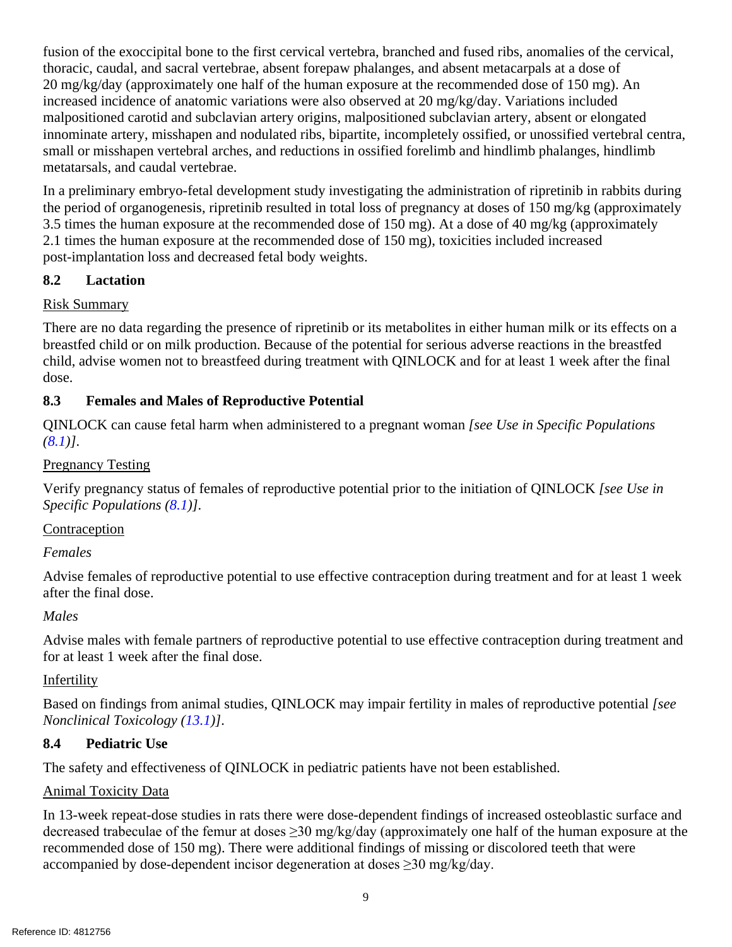fusion of the exoccipital bone to the first cervical vertebra, branched and fused ribs, anomalies of the cervical, thoracic, caudal, and sacral vertebrae, absent forepaw phalanges, and absent metacarpals at a dose of 20 mg/kg/day (approximately one half of the human exposure at the recommended dose of 150 mg). An increased incidence of anatomic variations were also observed at 20 mg/kg/day. Variations included malpositioned carotid and subclavian artery origins, malpositioned subclavian artery, absent or elongated innominate artery, misshapen and nodulated ribs, bipartite, incompletely ossified, or unossified vertebral centra, small or misshapen vertebral arches, and reductions in ossified forelimb and hindlimb phalanges, hindlimb metatarsals, and caudal vertebrae.

In a preliminary embryo-fetal development study investigating the administration of ripretinib in rabbits during the period of organogenesis, ripretinib resulted in total loss of pregnancy at doses of 150 mg/kg (approximately 3.5 times the human exposure at the recommended dose of 150 mg). At a dose of 40 mg/kg (approximately 2.1 times the human exposure at the recommended dose of 150 mg), toxicities included increased post-implantation loss and decreased fetal body weights.

### <span id="page-8-1"></span>**8.2 Lactation**

### Risk Summary

There are no data regarding the presence of ripretinib or its metabolites in either human milk or its effects on a breastfed child or on milk production. Because of the potential for serious adverse reactions in the breastfed child, advise women not to breastfeed during treatment with QINLOCK and for at least 1 week after the final dose.

# <span id="page-8-0"></span>**8.3 Females and Males of Reproductive Potential**

QINLOCK can cause fetal harm when administered to a pregnant woman *[see Use in Specific Populations [\(8.1\)](#page-7-0)]*.

### Pregnancy Testing

Verify pregnancy status of females of reproductive potential prior to the initiation of QINLOCK *[see Use in Specific Populations [\(8.1\)](#page-7-0)]*.

# Contraception

### *Females*

Advise females of reproductive potential to use effective contraception during treatment and for at least 1 week after the final dose.

### *Males*

Advise males with female partners of reproductive potential to use effective contraception during treatment and for at least 1 week after the final dose.

### Infertility

Based on findings from animal studies, QINLOCK may impair fertility in males of reproductive potential *[see Nonclinical Toxicology [\(13.1\)](#page-11-1)]*.

### <span id="page-8-2"></span>**8.4 Pediatric Use**

The safety and effectiveness of QINLOCK in pediatric patients have not been established.

### Animal Toxicity Data

In 13-week repeat-dose studies in rats there were dose-dependent findings of increased osteoblastic surface and decreased trabeculae of the femur at doses ≥30 mg/kg/day (approximately one half of the human exposure at the recommended dose of 150 mg). There were additional findings of missing or discolored teeth that were accompanied by dose-dependent incisor degeneration at doses ≥30 mg/kg/day.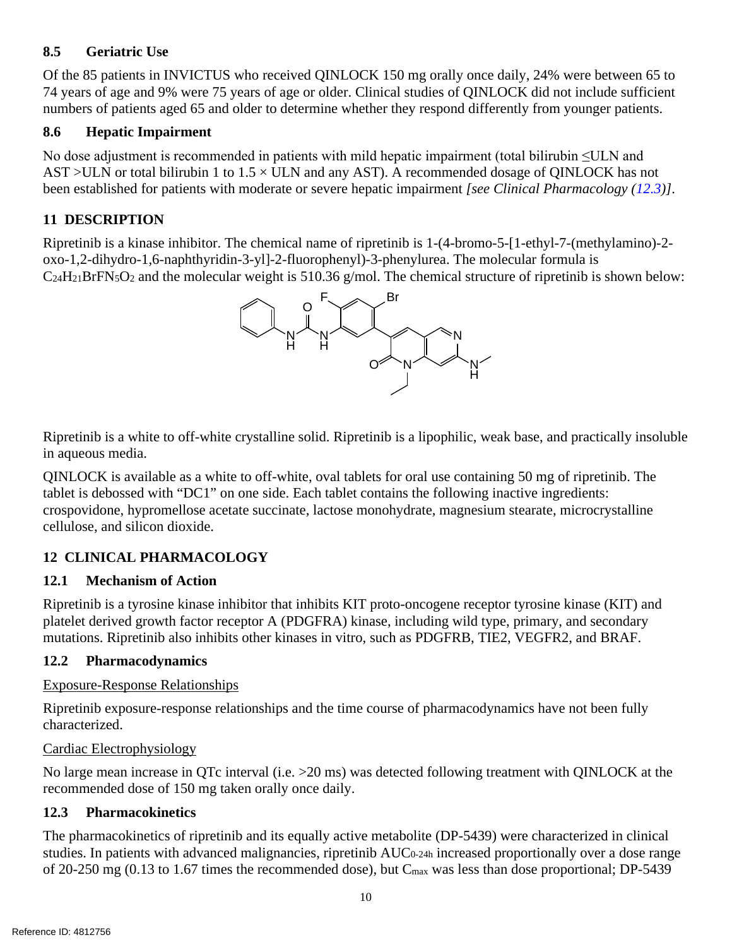### <span id="page-9-0"></span>**8.5 Geriatric Use**

Of the 85 patients in INVICTUS who received QINLOCK 150 mg orally once daily, 24% were between 65 to 74 years of age and 9% were 75 years of age or older. Clinical studies of QINLOCK did not include sufficient numbers of patients aged 65 and older to determine whether they respond differently from younger patients.

### <span id="page-9-1"></span>**8.6 Hepatic Impairment**

No dose adjustment is recommended in patients with mild hepatic impairment (total bilirubin ≤ULN and AST >ULN or total bilirubin 1 to  $1.5 \times$  ULN and any AST). A recommended dosage of OINLOCK has not been established for patients with moderate or severe hepatic impairment *[see Clinical Pharmacology [\(12.3\)](#page-9-6)]*.

# <span id="page-9-2"></span>**11 DESCRIPTION**

Ripretinib is a kinase inhibitor. The chemical name of ripretinib is 1-(4-bromo-5-[1-ethyl-7-(methylamino)-2 oxo-1,2-dihydro-1,6-naphthyridin-3-yl]-2-fluorophenyl)-3-phenylurea. The molecular formula is  $C<sub>24</sub>H<sub>21</sub>BrFN<sub>5</sub>O<sub>2</sub>$  and the molecular weight is 510.36 g/mol. The chemical structure of ripretinib is shown below:



Ripretinib is a white to off-white crystalline solid. Ripretinib is a lipophilic, weak base, and practically insoluble in aqueous media.

QINLOCK is available as a white to off-white, oval tablets for oral use containing 50 mg of ripretinib. The tablet is debossed with "DC1" on one side. Each tablet contains the following inactive ingredients: crospovidone, hypromellose acetate succinate, lactose monohydrate, magnesium stearate, microcrystalline cellulose, and silicon dioxide.

# <span id="page-9-3"></span>**12 CLINICAL PHARMACOLOGY**

### <span id="page-9-4"></span>**12.1 Mechanism of Action**

Ripretinib is a tyrosine kinase inhibitor that inhibits KIT proto-oncogene receptor tyrosine kinase (KIT) and platelet derived growth factor receptor A (PDGFRA) kinase, including wild type, primary, and secondary mutations. Ripretinib also inhibits other kinases in vitro, such as PDGFRB, TIE2, VEGFR2, and BRAF.

# <span id="page-9-5"></span>**12.2 Pharmacodynamics**

### Exposure-Response Relationships

Ripretinib exposure-response relationships and the time course of pharmacodynamics have not been fully characterized.

### Cardiac Electrophysiology

No large mean increase in QTc interval (i.e. >20 ms) was detected following treatment with QINLOCK at the recommended dose of 150 mg taken orally once daily.

# <span id="page-9-6"></span>**12.3 Pharmacokinetics**

The pharmacokinetics of ripretinib and its equally active metabolite (DP-5439) were characterized in clinical studies. In patients with advanced malignancies, ripretinib AUC<sub>0-24h</sub> increased proportionally over a dose range of 20-250 mg (0.13 to 1.67 times the recommended dose), but Cmax was less than dose proportional; DP-5439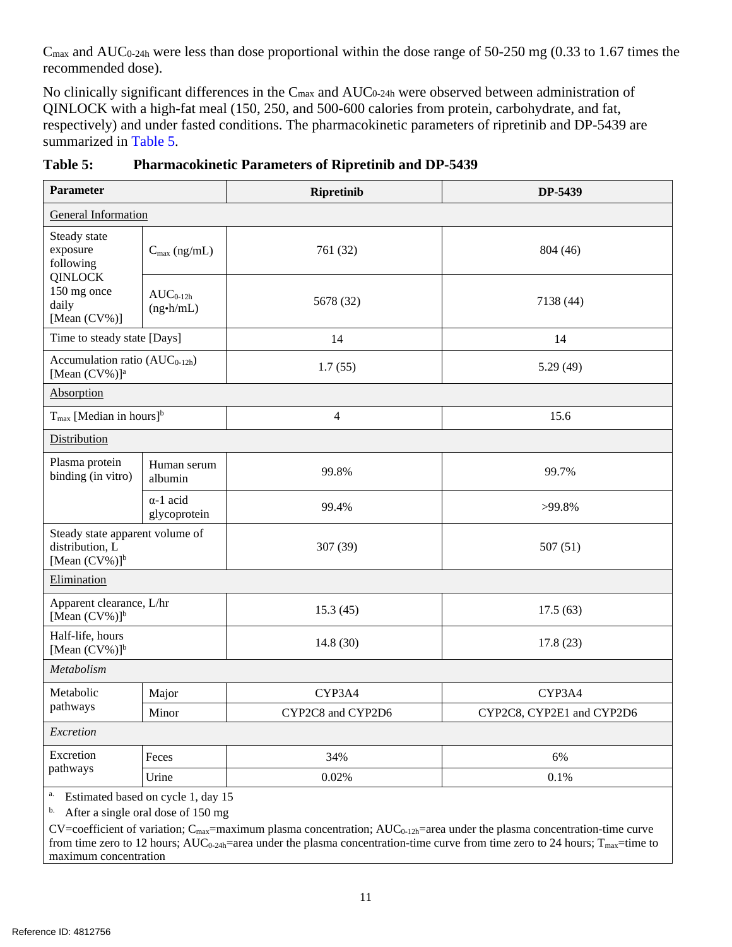$C_{\text{max}}$  and AUC<sub>0-24h</sub> were less than dose proportional within the dose range of 50-250 mg (0.33 to 1.67 times the recommended dose).

No clinically significant differences in the C<sub>max</sub> and AUC<sub>0-24h</sub> were observed between administration of QINLOCK with a high-fat meal (150, 250, and 500-600 calories from protein, carbohydrate, and fat, respectively) and under fasted conditions. The pharmacokinetic parameters of ripretinib and DP-5439 are summarized in [Table 5.](#page-10-0)

| <b>Parameter</b>                                                                                |                                                                          | <b>Ripretinib</b> | DP-5439                   |  |  |
|-------------------------------------------------------------------------------------------------|--------------------------------------------------------------------------|-------------------|---------------------------|--|--|
| <b>General Information</b>                                                                      |                                                                          |                   |                           |  |  |
| Steady state<br>exposure<br>following<br><b>QINLOCK</b><br>150 mg once<br>daily<br>[Mean (CV%)] | $C_{\text{max}}$ (ng/mL)                                                 | 761 (32)          | 804 (46)                  |  |  |
|                                                                                                 | $AUC_{0-12h}$<br>$(ng\cdot h/mL)$                                        | 5678 (32)         | 7138 (44)                 |  |  |
| Time to steady state [Days]                                                                     |                                                                          | 14                | 14                        |  |  |
| Accumulation ratio $(AUC_{0-12h})$<br>[Mean (CV%)] <sup>a</sup>                                 |                                                                          | 1.7(55)           | 5.29(49)                  |  |  |
| Absorption                                                                                      |                                                                          |                   |                           |  |  |
| $T_{\text{max}}$ [Median in hours] <sup>b</sup>                                                 |                                                                          | $\overline{4}$    | 15.6                      |  |  |
| Distribution                                                                                    |                                                                          |                   |                           |  |  |
| Plasma protein<br>binding (in vitro)                                                            | Human serum<br>albumin                                                   | 99.8%             | 99.7%                     |  |  |
|                                                                                                 | $\alpha$ -1 acid<br>glycoprotein                                         | 99.4%             | >99.8%                    |  |  |
| Steady state apparent volume of<br>distribution, L<br>[Mean $(CV%)$ ] <sup>b</sup>              |                                                                          | 307 (39)          | 507(51)                   |  |  |
| Elimination                                                                                     |                                                                          |                   |                           |  |  |
| Apparent clearance, L/hr<br>[Mean $(CV%)$ ] <sup>b</sup>                                        |                                                                          | 15.3(45)          | 17.5(63)                  |  |  |
| Half-life, hours<br>[Mean $(CV\%)$ ] <sup>b</sup>                                               |                                                                          | 14.8(30)          | 17.8(23)                  |  |  |
| Metabolism                                                                                      |                                                                          |                   |                           |  |  |
| Metabolic<br>pathways                                                                           | Major                                                                    | CYP3A4            | CYP3A4                    |  |  |
|                                                                                                 | Minor                                                                    | CYP2C8 and CYP2D6 | CYP2C8, CYP2E1 and CYP2D6 |  |  |
| Excretion                                                                                       |                                                                          |                   |                           |  |  |
| Excretion                                                                                       | Feces                                                                    | 34%               | 6%                        |  |  |
| pathways                                                                                        | Urine                                                                    | 0.02%             | 0.1%                      |  |  |
| a.<br>b.                                                                                        | Estimated based on cycle 1, day 15<br>After a single oral dose of 150 mg |                   |                           |  |  |

<span id="page-10-0"></span>

 $CV=coefficient$  of variation;  $C_{max}=maximum$  plasma concentration;  $AUC_{0-12h}=area$  under the plasma concentration-time curve from time zero to 12 hours;  $AUC_{0-24h}$ =area under the plasma concentration-time curve from time zero to 24 hours;  $T_{max}$ =time to maximum concentration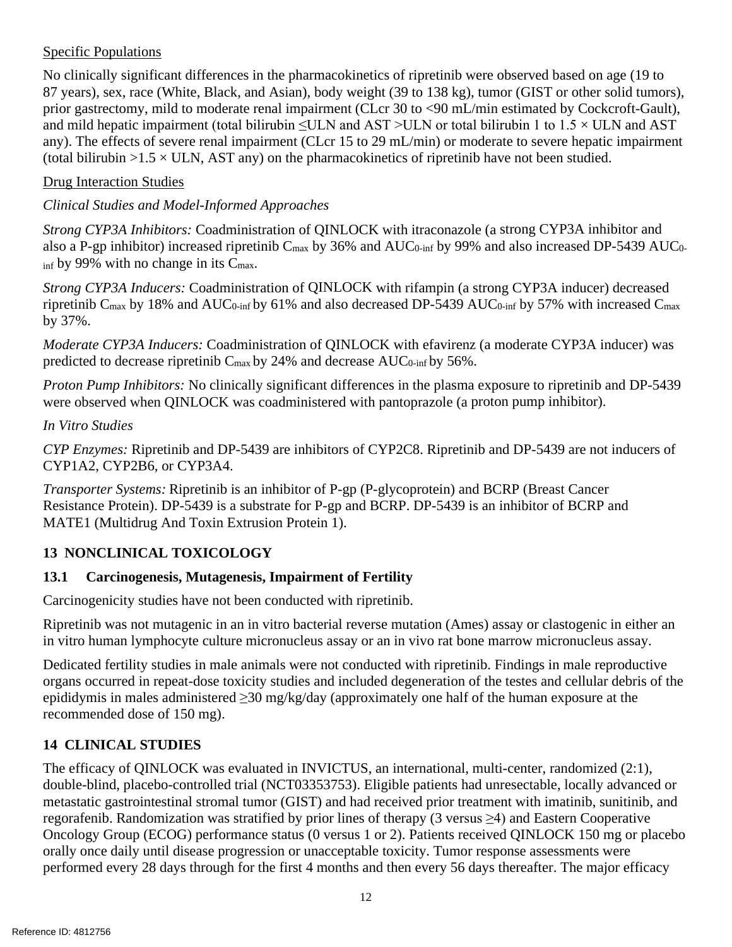# Specific Populations

No clinically significant differences in the pharmacokinetics of ripretinib were observed based on age (19 to 87 years), sex, race (White, Black, and Asian), body weight (39 to 138 kg), tumor (GIST or other solid tumors), prior gastrectomy, mild to moderate renal impairment (CLcr 30 to <90 mL/min estimated by Cockcroft-Gault), and mild hepatic impairment (total bilirubin  $\leq$ ULN and AST >ULN or total bilirubin 1 to 1.5  $\times$  ULN and AST any). The effects of severe renal impairment (CLcr 15 to 29 mL/min) or moderate to severe hepatic impairment (total bilirubin  $>1.5 \times$  ULN, AST any) on the pharmacokinetics of ripretinib have not been studied.

### Drug Interaction Studies

### *Clinical Studies and Model-Informed Approaches*

*Strong CYP3A Inhibitors:* Coadministration of QINLOCK with itraconazole (a strong CYP3A inhibitor and also a P-gp inhibitor) increased ripretinib C<sub>max</sub> by 36% and AUC<sub>0-inf</sub> by 99% and also increased DP-5439 AUC<sub>0-</sub>  $_{\text{inf}}$  by 99% with no change in its C<sub>max</sub>.

*Strong CYP3A Inducers:* Coadministration of QINLOCK with rifampin (a strong CYP3A inducer) decreased ripretinib C<sub>max</sub> by 18% and AUC<sub>0-inf</sub> by 61% and also decreased DP-5439 AUC<sub>0-inf</sub> by 57% with increased C<sub>max</sub> by 37%.

*Moderate CYP3A Inducers:* Coadministration of QINLOCK with efavirenz (a moderate CYP3A inducer) was predicted to decrease ripretinib C<sub>max</sub> by 24% and decrease AUC<sub>0-inf</sub> by 56%.

*Proton Pump Inhibitors:* No clinically significant differences in the plasma exposure to ripretinib and DP-5439 were observed when QINLOCK was coadministered with pantoprazole (a proton pump inhibitor).

### *In Vitro Studies*

*CYP Enzymes:* Ripretinib and DP-5439 are inhibitors of CYP2C8. Ripretinib and DP-5439 are not inducers of CYP1A2, CYP2B6, or CYP3A4.

*Transporter Systems:* Ripretinib is an inhibitor of P-gp (P-glycoprotein) and BCRP (Breast Cancer Resistance Protein). DP-5439 is a substrate for P-gp and BCRP. DP-5439 is an inhibitor of BCRP and MATE1 (Multidrug And Toxin Extrusion Protein 1).

# <span id="page-11-0"></span>**13 NONCLINICAL TOXICOLOGY**

# <span id="page-11-1"></span>**13.1 Carcinogenesis, Mutagenesis, Impairment of Fertility**

Carcinogenicity studies have not been conducted with ripretinib.

Ripretinib was not mutagenic in an in vitro bacterial reverse mutation (Ames) assay or clastogenic in either an in vitro human lymphocyte culture micronucleus assay or an in vivo rat bone marrow micronucleus assay.

Dedicated fertility studies in male animals were not conducted with ripretinib. Findings in male reproductive organs occurred in repeat-dose toxicity studies and included degeneration of the testes and cellular debris of the epididymis in males administered ≥30 mg/kg/day (approximately one half of the human exposure at the recommended dose of 150 mg).

# <span id="page-11-2"></span>**14 CLINICAL STUDIES**

The efficacy of QINLOCK was evaluated in INVICTUS, an international, multi-center, randomized (2:1), double-blind, placebo-controlled trial (NCT03353753). Eligible patients had unresectable, locally advanced or metastatic gastrointestinal stromal tumor (GIST) and had received prior treatment with imatinib, sunitinib, and regorafenib. Randomization was stratified by prior lines of therapy (3 versus  $\geq$ 4) and Eastern Cooperative Oncology Group (ECOG) performance status (0 versus 1 or 2). Patients received QINLOCK 150 mg or placebo orally once daily until disease progression or unacceptable toxicity. Tumor response assessments were performed every 28 days through for the first 4 months and then every 56 days thereafter. The major efficacy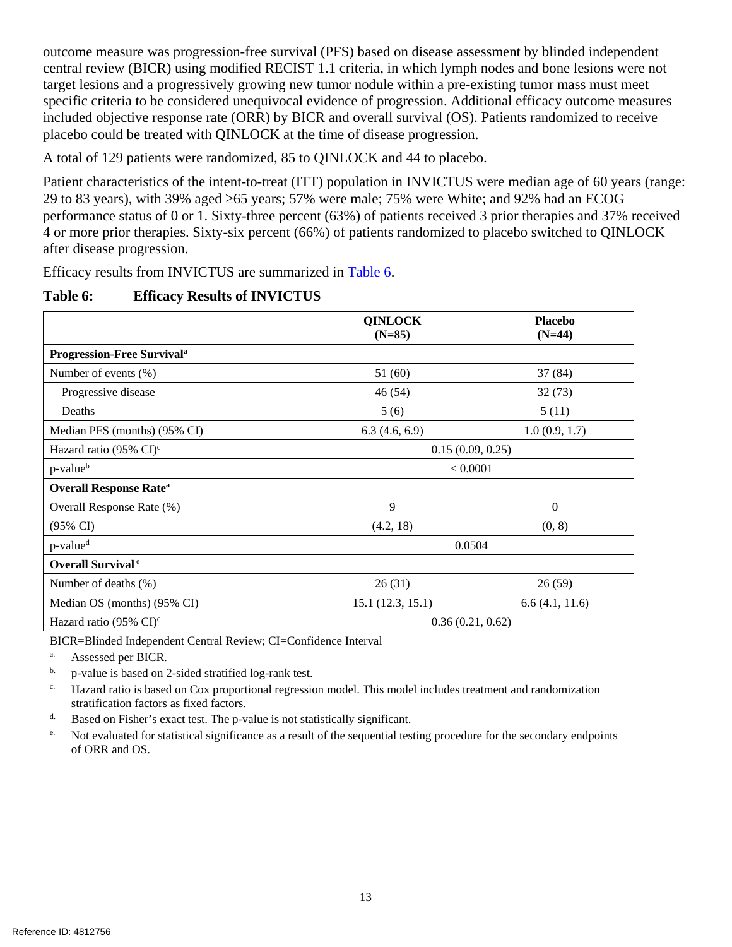outcome measure was progression-free survival (PFS) based on disease assessment by blinded independent central review (BICR) using modified RECIST 1.1 criteria, in which lymph nodes and bone lesions were not target lesions and a progressively growing new tumor nodule within a pre-existing tumor mass must meet specific criteria to be considered unequivocal evidence of progression. Additional efficacy outcome measures included objective response rate (ORR) by BICR and overall survival (OS). Patients randomized to receive placebo could be treated with QINLOCK at the time of disease progression.

A total of 129 patients were randomized, 85 to QINLOCK and 44 to placebo.

Patient characteristics of the intent-to-treat (ITT) population in INVICTUS were median age of 60 years (range: 29 to 83 years), with 39% aged ≥65 years; 57% were male; 75% were White; and 92% had an ECOG performance status of 0 or 1. Sixty-three percent (63%) of patients received 3 prior therapies and 37% received 4 or more prior therapies. Sixty-six percent (66%) of patients randomized to placebo switched to QINLOCK after disease progression.

Efficacy results from INVICTUS are summarized in [Table 6.](#page-12-0)

### <span id="page-12-0"></span>**Table 6: Efficacy Results of INVICTUS**

|                                              | <b>QINLOCK</b><br>$(N=85)$ | <b>Placebo</b><br>$(N=44)$ |  |  |
|----------------------------------------------|----------------------------|----------------------------|--|--|
| <b>Progression-Free Survival<sup>a</sup></b> |                            |                            |  |  |
| Number of events $(\%)$                      | 51(60)                     | 37 (84)                    |  |  |
| Progressive disease                          | 46 (54)                    | 32(73)                     |  |  |
| Deaths                                       | 5(6)                       | 5(11)                      |  |  |
| Median PFS (months) (95% CI)                 | 6.3(4.6, 6.9)              | 1.0(0.9, 1.7)              |  |  |
| Hazard ratio (95% $CI$ ) <sup>c</sup>        | 0.15(0.09, 0.25)           |                            |  |  |
| p-value <sup>b</sup>                         | < 0.0001                   |                            |  |  |
| <b>Overall Response Rate<sup>a</sup></b>     |                            |                            |  |  |
| Overall Response Rate (%)                    | 9                          | $\boldsymbol{0}$           |  |  |
| $(95\% \text{ CI})$                          | (4.2, 18)                  | (0, 8)                     |  |  |
| p-value <sup>d</sup>                         | 0.0504                     |                            |  |  |
| <b>Overall Survival</b> <sup>e</sup>         |                            |                            |  |  |
| Number of deaths (%)                         | 26(31)                     | 26(59)                     |  |  |
| Median OS (months) (95% CI)                  | 15.1(12.3, 15.1)           | 6.6(4.1, 11.6)             |  |  |
| Hazard ratio $(95\% \text{ CI})^c$           | 0.36(0.21, 0.62)           |                            |  |  |

BICR=Blinded Independent Central Review; CI=Confidence Interval

a. Assessed per BICR.

- <sup>b.</sup> p-value is based on 2-sided stratified log-rank test.
- c. Hazard ratio is based on Cox proportional regression model. This model includes treatment and randomization stratification factors as fixed factors.
- d. Based on Fisher's exact test. The p-value is not statistically significant.
- <sup>e.</sup> Not evaluated for statistical significance as a result of the sequential testing procedure for the secondary endpoints of ORR and OS.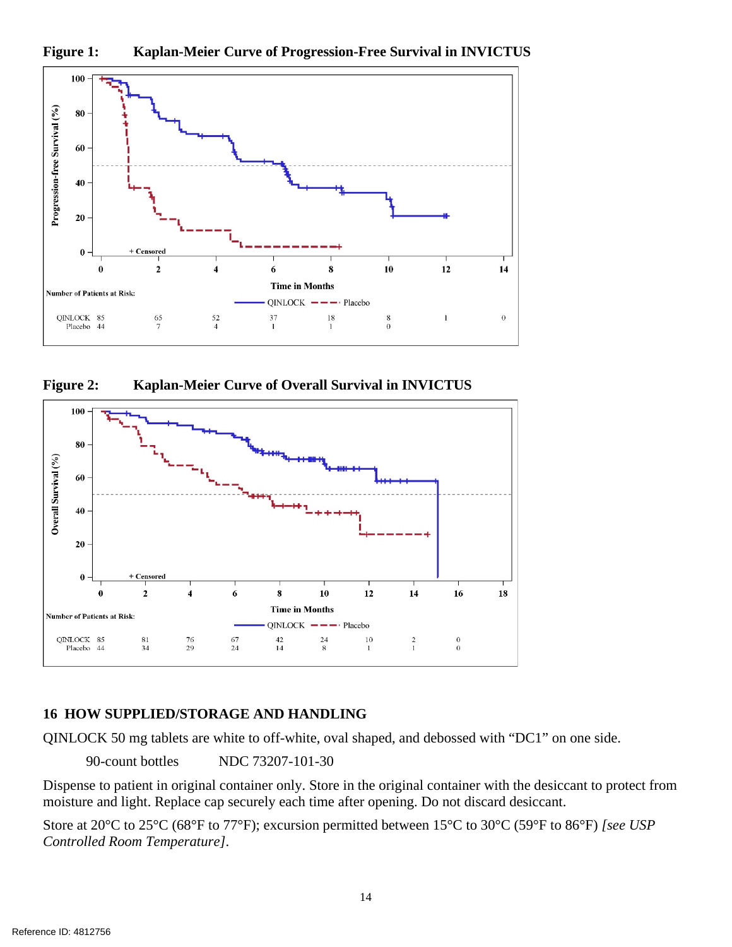



**Figure 2: Kaplan-Meier Curve of Overall Survival in INVICTUS**



### <span id="page-13-0"></span>**16 HOW SUPPLIED/STORAGE AND HANDLING**

QINLOCK 50 mg tablets are white to off-white, oval shaped, and debossed with "DC1" on one side.

90-count bottles NDC 73207-101-30

Dispense to patient in original container only. Store in the original container with the desiccant to protect from moisture and light. Replace cap securely each time after opening. Do not discard desiccant.

Store at 20°C to 25°C (68°F to 77°F); excursion permitted between 15°C to 30°C (59°F to 86°F) *[see USP Controlled Room Temperature]*.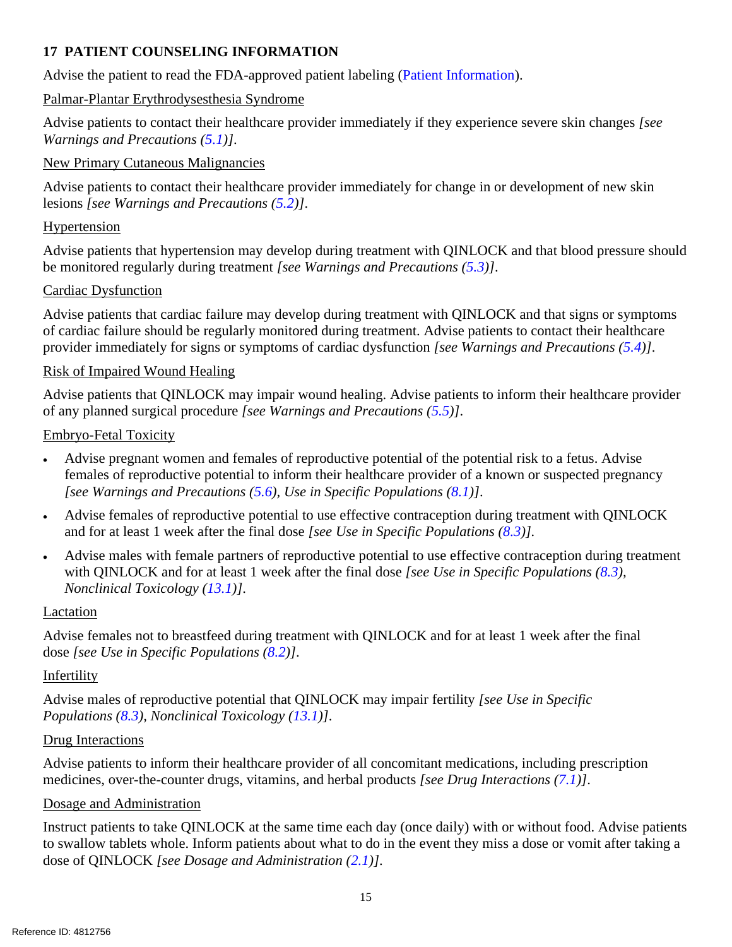# <span id="page-14-0"></span>**17 PATIENT COUNSELING INFORMATION**

Advise the patient to read the FDA-approved patient labeling (Patient Information).

### Palmar-Plantar Erythrodysesthesia Syndrome

Advise patients to contact their healthcare provider immediately if they experience severe skin changes *[see Warnings and Precautions [\(5.1\)](#page-2-2)]*.

### New Primary Cutaneous Malignancies

Advise patients to contact their healthcare provider immediately for change in or development of new skin lesions *[see Warnings and Precautions [\(5.2\)](#page-2-3)]*.

### Hypertension

Advise patients that hypertension may develop during treatment with QINLOCK and that blood pressure should be monitored regularly during treatment *[see Warnings and Precautions [\(5.3\)](#page-3-0)]*.

### Cardiac Dysfunction

Advise patients that cardiac failure may develop during treatment with QINLOCK and that signs or symptoms of cardiac failure should be regularly monitored during treatment. Advise patients to contact their healthcare provider immediately for signs or symptoms of cardiac dysfunction *[see Warnings and Precautions [\(5.4\)](#page-3-1)]*.

# Risk of Impaired Wound Healing

Advise patients that QINLOCK may impair wound healing. Advise patients to inform their healthcare provider of any planned surgical procedure *[see Warnings and Precautions [\(5.5\)](#page-3-2)]*.

### Embryo-Fetal Toxicity

- Advise pregnant women and females of reproductive potential of the potential risk to a fetus. Advise females of reproductive potential to inform their healthcare provider of a known or suspected pregnancy *[see Warnings and Precautions [\(5.6\)](#page-3-3), Use in Specific Populations [\(8.1\)](#page-7-0)]*.
- Advise females of reproductive potential to use effective contraception during treatment with QINLOCK and for at least 1 week after the final dose *[see Use in Specific Populations [\(8.3\)](#page-8-0)].*
- Advise males with female partners of reproductive potential to use effective contraception during treatment with QINLOCK and for at least 1 week after the final dose *[see Use in Specific Populations [\(8.3\)](#page-8-0), Nonclinical Toxicology [\(13.1\)](#page-11-1)]*.

### Lactation

Advise females not to breastfeed during treatment with QINLOCK and for at least 1 week after the final dose *[see Use in Specific Populations [\(8.2\)](#page-8-1)]*.

### Infertility

Advise males of reproductive potential that QINLOCK may impair fertility *[see Use in Specific Populations [\(8.3\)](#page-8-0), Nonclinical Toxicology [\(13.1\)](#page-11-1)]*.

### Drug Interactions

Advise patients to inform their healthcare provider of all concomitant medications, including prescription medicines, over-the-counter drugs, vitamins, and herbal products *[see Drug Interactions [\(7.1\)](#page-7-1)]*.

### Dosage and Administration

Instruct patients to take QINLOCK at the same time each day (once daily) with or without food. Advise patients to swallow tablets whole. Inform patients about what to do in the event they miss a dose or vomit after taking a dose of QINLOCK *[see Dosage and Administration [\(2.1\)](#page-1-1)]*.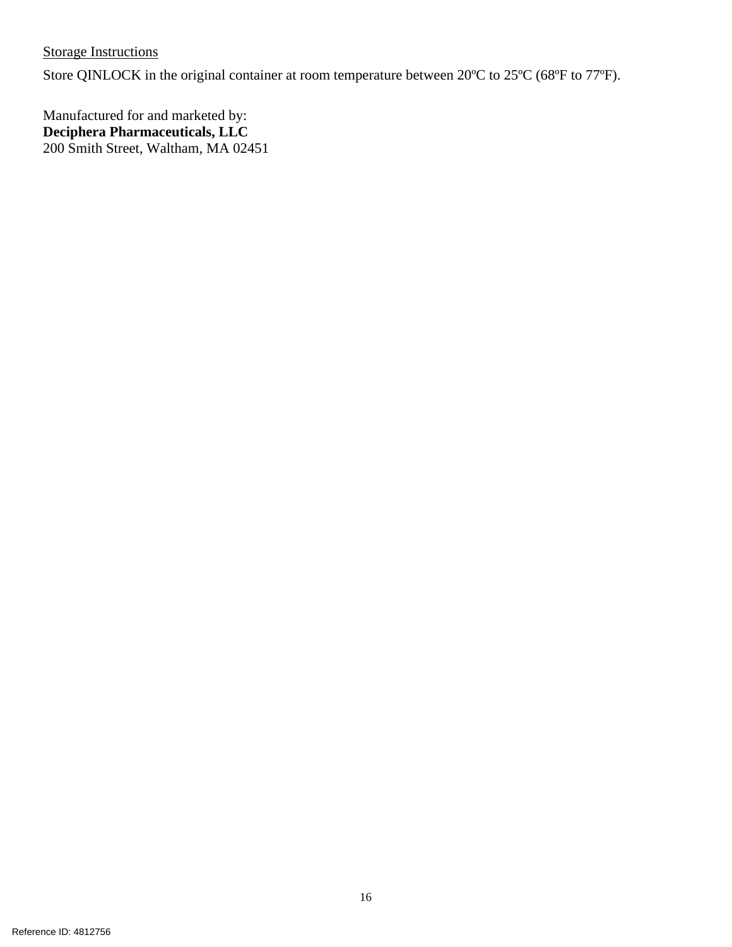**Storage Instructions** 

Store QINLOCK in the original container at room temperature between 20ºC to 25ºC (68ºF to 77ºF).

Manufactured for and marketed by: **Deciphera Pharmaceuticals, LLC**  200 Smith Street, Waltham, MA 02451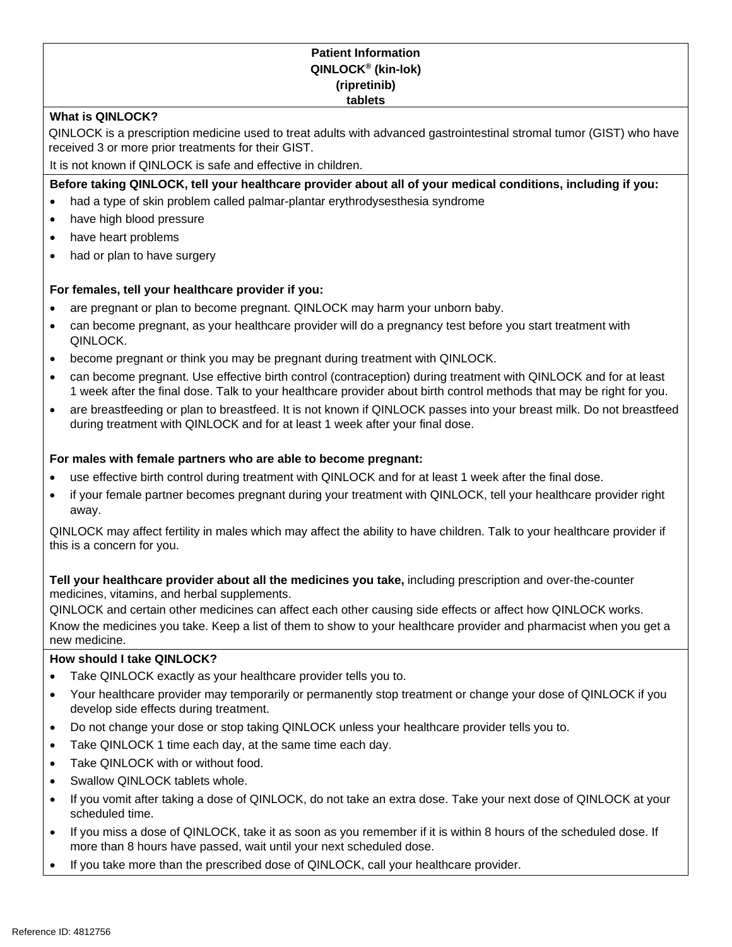#### **Patient Information QINLOCK® (kin-lok) (ripretinib) tablets**

#### **What is QINLOCK?**

QINLOCK is a prescription medicine used to treat adults with advanced gastrointestinal stromal tumor (GIST) who have received 3 or more prior treatments for their GIST.

It is not known if QINLOCK is safe and effective in children.

#### **Before taking QINLOCK, tell your healthcare provider about all of your medical conditions, including if you:**

- had a type of skin problem called palmar-plantar erythrodysesthesia syndrome
- have high blood pressure
- have heart problems
- had or plan to have surgery

#### **For females, tell your healthcare provider if you:**

- are pregnant or plan to become pregnant. QINLOCK may harm your unborn baby.
- can become pregnant, as your healthcare provider will do a pregnancy test before you start treatment with QINLOCK.
- become pregnant or think you may be pregnant during treatment with QINLOCK.
- can become pregnant. Use effective birth control (contraception) during treatment with QINLOCK and for at least 1 week after the final dose. Talk to your healthcare provider about birth control methods that may be right for you.
- are breastfeeding or plan to breastfeed. It is not known if QINLOCK passes into your breast milk. Do not breastfeed during treatment with QINLOCK and for at least 1 week after your final dose.

#### **For males with female partners who are able to become pregnant:**

- use effective birth control during treatment with QINLOCK and for at least 1 week after the final dose.
- if your female partner becomes pregnant during your treatment with QINLOCK, tell your healthcare provider right away.

QINLOCK may affect fertility in males which may affect the ability to have children. Talk to your healthcare provider if this is a concern for you.

**Tell your healthcare provider about all the medicines you take,** including prescription and over-the-counter medicines, vitamins, and herbal supplements.

QINLOCK and certain other medicines can affect each other causing side effects or affect how QINLOCK works. Know the medicines you take. Keep a list of them to show to your healthcare provider and pharmacist when you get a new medicine.

#### **How should I take QINLOCK?**

- Take QINLOCK exactly as your healthcare provider tells you to.
- Your healthcare provider may temporarily or permanently stop treatment or change your dose of QINLOCK if you develop side effects during treatment.
- Do not change your dose or stop taking QINLOCK unless your healthcare provider tells you to.
- Take QINLOCK 1 time each day, at the same time each day.
- Take QINLOCK with or without food.
- Swallow QINLOCK tablets whole.
- If you vomit after taking a dose of QINLOCK, do not take an extra dose. Take your next dose of QINLOCK at your scheduled time.
- If you miss a dose of QINLOCK, take it as soon as you remember if it is within 8 hours of the scheduled dose. If more than 8 hours have passed, wait until your next scheduled dose.
- If you take more than the prescribed dose of QINLOCK, call your healthcare provider.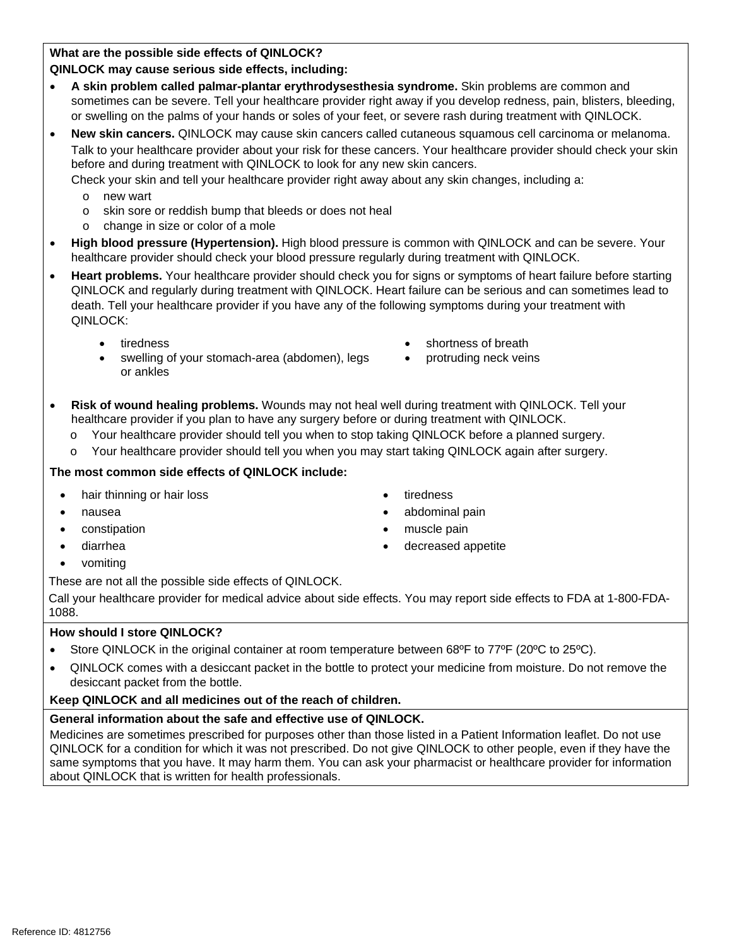**What are the possible side effects of QINLOCK?**

#### **QINLOCK may cause serious side effects, including:**

- **A skin problem called palmar-plantar erythrodysesthesia syndrome.** Skin problems are common and sometimes can be severe. Tell your healthcare provider right away if you develop redness, pain, blisters, bleeding, or swelling on the palms of your hands or soles of your feet, or severe rash during treatment with QINLOCK.
- **New skin cancers.** QINLOCK may cause skin cancers called cutaneous squamous cell carcinoma or melanoma. Talk to your healthcare provider about your risk for these cancers. Your healthcare provider should check your skin before and during treatment with QINLOCK to look for any new skin cancers.

Check your skin and tell your healthcare provider right away about any skin changes, including a:

- o new wart
- o skin sore or reddish bump that bleeds or does not heal
- change in size or color of a mole
- **High blood pressure (Hypertension).** High blood pressure is common with QINLOCK and can be severe. Your healthcare provider should check your blood pressure regularly during treatment with QINLOCK.
- **Heart problems.** Your healthcare provider should check you for signs or symptoms of heart failure before starting QINLOCK and regularly during treatment with QINLOCK. Heart failure can be serious and can sometimes lead to death. Tell your healthcare provider if you have any of the following symptoms during your treatment with QINLOCK:
	- tiredness
	- swelling of your stomach-area (abdomen), legs or ankles
- shortness of breath
- protruding neck veins
- **Risk of wound healing problems.** Wounds may not heal well during treatment with QINLOCK. Tell your healthcare provider if you plan to have any surgery before or during treatment with QINLOCK.
	- o Your healthcare provider should tell you when to stop taking QINLOCK before a planned surgery.
	- o Your healthcare provider should tell you when you may start taking QINLOCK again after surgery.

#### **The most common side effects of QINLOCK include:**

- hair thinning or hair loss **•** tiredness
- nausea abdominal pain
- **Constipation •** muscle pain
- 
- 
- 
- diarrhea decreased appetite
- vomiting

These are not all the possible side effects of QINLOCK.

Call your healthcare provider for medical advice about side effects. You may report side effects to FDA at 1-800-FDA-1088.

#### **How should I store QINLOCK?**

- Store QINLOCK in the original container at room temperature between 68ºF to 77ºF (20ºC to 25ºC).
- QINLOCK comes with a desiccant packet in the bottle to protect your medicine from moisture. Do not remove the desiccant packet from the bottle.

#### **Keep QINLOCK and all medicines out of the reach of children.**

#### **General information about the safe and effective use of QINLOCK.**

Medicines are sometimes prescribed for purposes other than those listed in a Patient Information leaflet. Do not use QINLOCK for a condition for which it was not prescribed. Do not give QINLOCK to other people, even if they have the same symptoms that you have. It may harm them. You can ask your pharmacist or healthcare provider for information about QINLOCK that is written for health professionals.